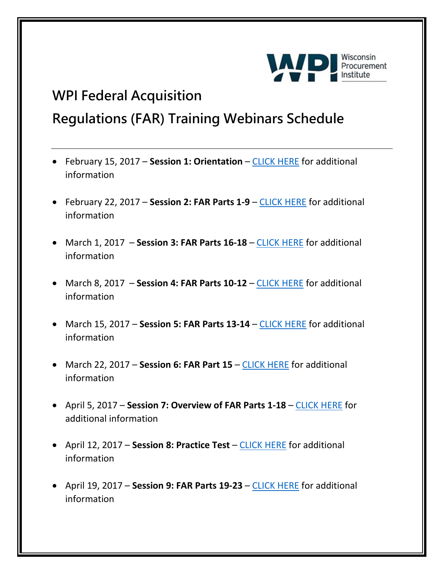

## **WPI Federal Acquisition**

## **Regulations (FAR) Training Webinars Schedule**

- February 15, 2017 **Session 1: Orientation**  [CLICK HERE](https://www.wispro.org/events/9524/) for additional information
- February 22, 2017 **Session 2: FAR Parts 1-9** [CLICK HERE](https://www.wispro.org/events/federal-acquisition-regulations-far-review-session-2-far-parts-1-9-2/) for additional information
- March 1, 2017 **Session 3: FAR Parts 16-18** [CLICK HERE](https://www.wispro.org/events/federal-acquisition-regulations-far-review-session-3-far-parts-16-18-2/) for additional information
- March 8, 2017 Session 4: FAR Parts 10-12 [CLICK HERE](https://www.wispro.org/events/federal-acquisition-regulations-far-review-session-4-far-parts-10-12-2/) for additional information
- March 15, 2017 **Session 5: FAR Parts 13-14**  [CLICK HERE](https://www.wispro.org/events/federal-acquisition-regulations-far-review-session-5-far-parts-13-14-2/) for additional information
- March 22, 2017 **Session 6: FAR Part 15** [CLICK HERE](https://www.wispro.org/events/federal-acquisition-regulations-far-review-session-6-far-part-15/) for additional information
- April 5, 2017 **Session 7: Overview of FAR Parts 1-18** [CLICK HERE](https://www.wispro.org/events/federal-acquisition-regulations-far-review-session-7-overview-of-far-parts-1-18/) for additional information
- April 12, 2017 **Session 8: Practice Test** [CLICK HERE](https://www.wispro.org/events/federal-acquisition-regulations-far-review-session-8-practice-test/) for additional information
- April 19, 2017 **Session 9: FAR Parts 19-23**  [CLICK HERE](https://www.wispro.org/events/federal-acquisition-regulations-far-review-session-9-far-parts-19-23/) for additional information